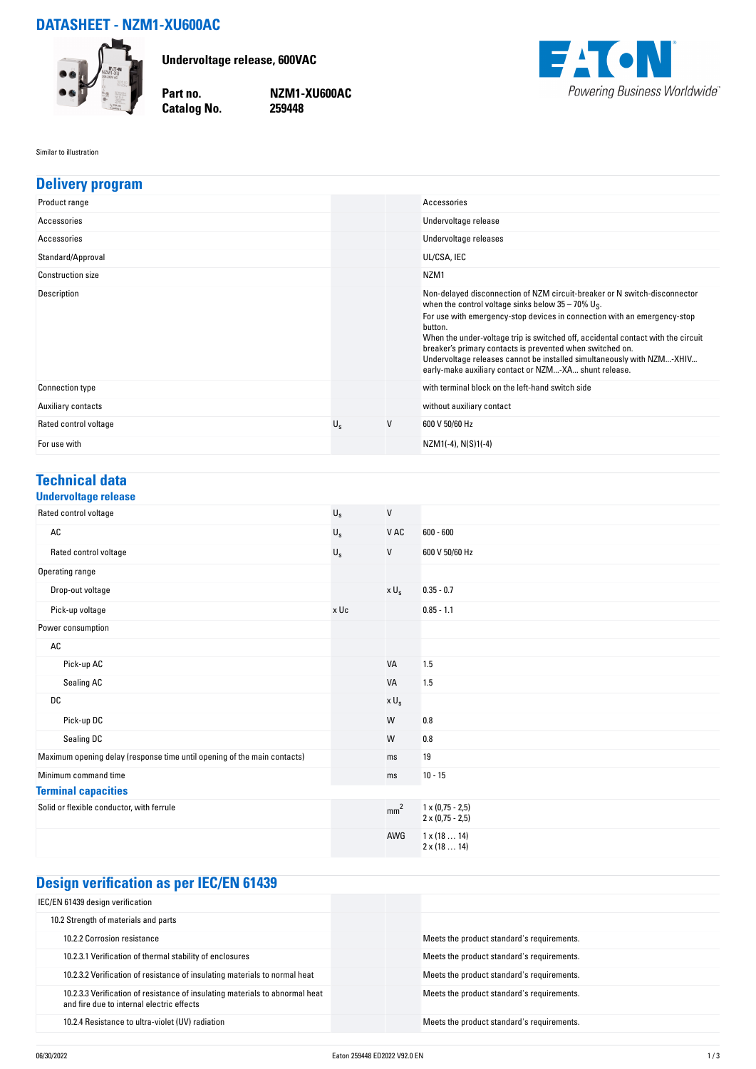## **DATASHEET - NZM1-XU600AC**



**Undervoltage release, 600VAC**

**Catalog No.** 

**Part no. NZM1-XU600AC**



Similar to illustration

| <b>Delivery program</b>  |             |   |                                                                                                                                                                                                                                                                                                                                                                                                                                                                                                                           |
|--------------------------|-------------|---|---------------------------------------------------------------------------------------------------------------------------------------------------------------------------------------------------------------------------------------------------------------------------------------------------------------------------------------------------------------------------------------------------------------------------------------------------------------------------------------------------------------------------|
| Product range            |             |   | Accessories                                                                                                                                                                                                                                                                                                                                                                                                                                                                                                               |
| Accessories              |             |   | Undervoltage release                                                                                                                                                                                                                                                                                                                                                                                                                                                                                                      |
| Accessories              |             |   | Undervoltage releases                                                                                                                                                                                                                                                                                                                                                                                                                                                                                                     |
| Standard/Approval        |             |   | UL/CSA, IEC                                                                                                                                                                                                                                                                                                                                                                                                                                                                                                               |
| <b>Construction size</b> |             |   | NZM <sub>1</sub>                                                                                                                                                                                                                                                                                                                                                                                                                                                                                                          |
| Description              |             |   | Non-delayed disconnection of NZM circuit-breaker or N switch-disconnector<br>when the control voltage sinks below $35 - 70\%$ U <sub>S</sub> .<br>For use with emergency-stop devices in connection with an emergency-stop<br>button.<br>When the under-voltage trip is switched off, accidental contact with the circuit<br>breaker's primary contacts is prevented when switched on.<br>Undervoltage releases cannot be installed simultaneously with NZM-XHIV<br>early-make auxiliary contact or NZM-XA shunt release. |
| <b>Connection type</b>   |             |   | with terminal block on the left-hand switch side                                                                                                                                                                                                                                                                                                                                                                                                                                                                          |
| Auxiliary contacts       |             |   | without auxiliary contact                                                                                                                                                                                                                                                                                                                                                                                                                                                                                                 |
| Rated control voltage    | $U_{\rm s}$ | V | 600 V 50/60 Hz                                                                                                                                                                                                                                                                                                                                                                                                                                                                                                            |
| For use with             |             |   | NZM1(-4), N(S)1(-4)                                                                                                                                                                                                                                                                                                                                                                                                                                                                                                       |

### **Technical data**

| <b>Undervoltage release</b> |
|-----------------------------|
|-----------------------------|

| Rated control voltage                                                    | $U_{\rm S}$ | $\mathsf{V}$     |                                                    |
|--------------------------------------------------------------------------|-------------|------------------|----------------------------------------------------|
| $\mathsf{AC}$                                                            | $U_{\rm S}$ | V AC             | $600 - 600$                                        |
| Rated control voltage                                                    | $U_{\rm S}$ | V                | 600 V 50/60 Hz                                     |
| Operating range                                                          |             |                  |                                                    |
| Drop-out voltage                                                         |             | x U <sub>s</sub> | $0.35 - 0.7$                                       |
| Pick-up voltage                                                          | x Uc        |                  | $0.85 - 1.1$                                       |
| Power consumption                                                        |             |                  |                                                    |
| $\mathsf{AC}$                                                            |             |                  |                                                    |
| Pick-up AC                                                               |             | VA               | 1.5                                                |
| Sealing AC                                                               |             | VA               | 1.5                                                |
| DC                                                                       |             | $x \cup_s$       |                                                    |
| Pick-up DC                                                               |             | W                | 0.8                                                |
| Sealing DC                                                               |             | W                | 0.8                                                |
| Maximum opening delay (response time until opening of the main contacts) |             | ms               | 19                                                 |
| Minimum command time                                                     |             | ms               | $10 - 15$                                          |
| <b>Terminal capacities</b>                                               |             |                  |                                                    |
| Solid or flexible conductor, with ferrule                                |             | mm <sup>2</sup>  | $1 \times (0.75 - 2.5)$<br>$2 \times (0.75 - 2.5)$ |
|                                                                          |             | AWG              | $1 \times (1814)$<br>$2 \times (1814)$             |

# **Design verification as per IEC/EN 61439**

| Meets the product standard's requirements. |
|--------------------------------------------|
| Meets the product standard's requirements. |
| Meets the product standard's requirements. |
| Meets the product standard's requirements. |
| Meets the product standard's requirements. |
|                                            |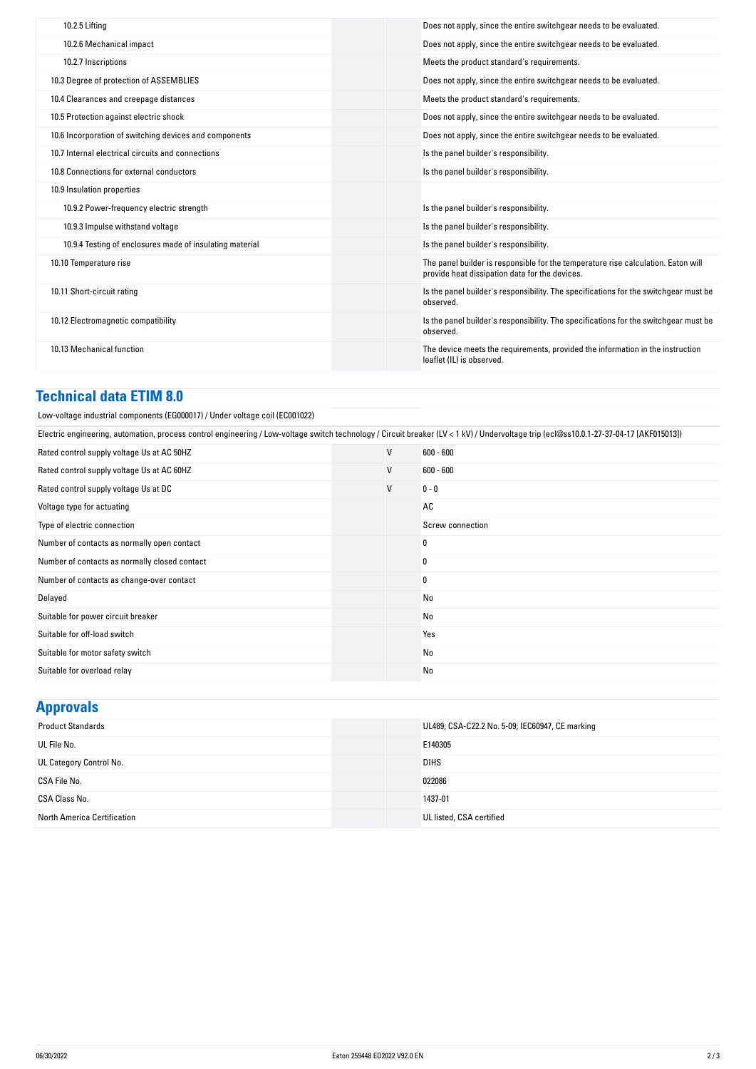| The panel builder is responsible for the temperature rise calculation. Eaton will    |
|--------------------------------------------------------------------------------------|
| Is the panel builder's responsibility. The specifications for the switchgear must be |
| Is the panel builder's responsibility. The specifications for the switchgear must be |
| The device meets the requirements, provided the information in the instruction       |
|                                                                                      |

#### **Technical data ETIM 8.0**

| Low-voltage industrial components (EG000017) / Under voltage coil (EC001022)                     |
|--------------------------------------------------------------------------------------------------|
| $\frac{[Equation of the image]_{\text{in}}}{[Equation of the image]_{\text{in}}}[1]_{\text{in}}$ |

| Electric engineering, automation, process control engineering / Low-voltage switch technology / Circuit breaker (LV < 1 kV) / Undervoltage trip (ecl@ss10.0.1-27-37-04-17 [AKF015013]) |                  |  |  |  |
|----------------------------------------------------------------------------------------------------------------------------------------------------------------------------------------|------------------|--|--|--|
| V                                                                                                                                                                                      | $600 - 600$      |  |  |  |
| V                                                                                                                                                                                      | $600 - 600$      |  |  |  |
| V                                                                                                                                                                                      | $0 - 0$          |  |  |  |
|                                                                                                                                                                                        | AC               |  |  |  |
|                                                                                                                                                                                        | Screw connection |  |  |  |
|                                                                                                                                                                                        | 0                |  |  |  |
|                                                                                                                                                                                        | 0                |  |  |  |
|                                                                                                                                                                                        | 0                |  |  |  |
|                                                                                                                                                                                        | No               |  |  |  |
|                                                                                                                                                                                        | No               |  |  |  |
|                                                                                                                                                                                        | Yes              |  |  |  |
|                                                                                                                                                                                        | No               |  |  |  |
|                                                                                                                                                                                        | No               |  |  |  |
|                                                                                                                                                                                        |                  |  |  |  |

| <b>Approvals</b>            |                                                 |
|-----------------------------|-------------------------------------------------|
| <b>Product Standards</b>    | UL489; CSA-C22.2 No. 5-09; IEC60947, CE marking |
| UL File No.                 | E140305                                         |
| UL Category Control No.     | <b>DIHS</b>                                     |
| CSA File No.                | 022086                                          |
| CSA Class No.               | 1437-01                                         |
| North America Certification | UL listed, CSA certified                        |